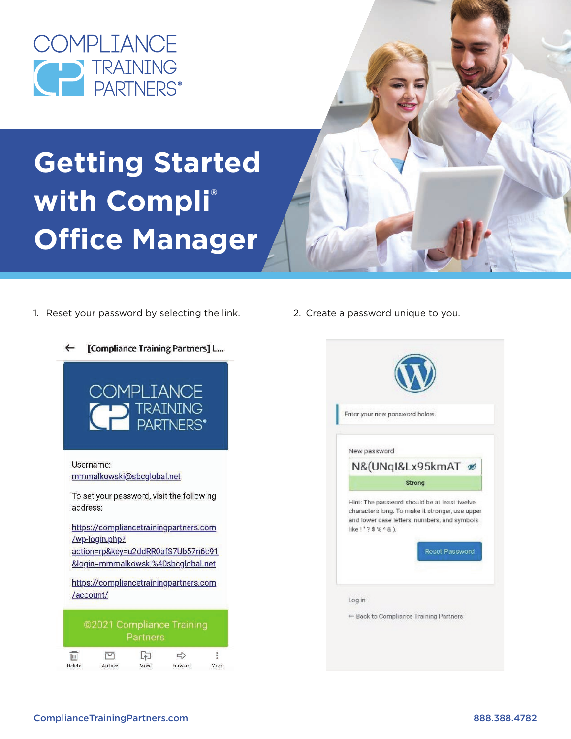

# **Getting Started with Compli® Office Manager**

1. Reset your password by selecting the link. 2. Create a password unique to you.



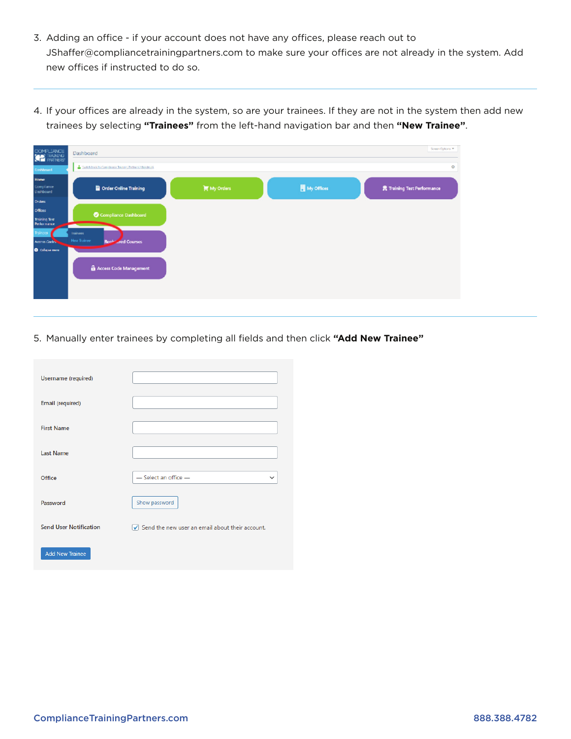- 3. Adding an office if your account does not have any offices, please reach out to JShaffer@compliancetrainingpartners.com to make sure your offices are not already in the system. Add new offices if instructed to do so.
- 4. If your offices are already in the system, so are your trainees. If they are not in the system then add new trainees by selecting **"Trainees"** from the left-hand navigation bar and then **"New Trainee"**.

| COMPLIANCE                                                 | Dashboard                                               |           |                     | Screen Options              |
|------------------------------------------------------------|---------------------------------------------------------|-----------|---------------------|-----------------------------|
| headden                                                    | Curlch hack to Complaince Training Partners (charakter) |           |                     | ۰                           |
| <b>Home</b><br>Compliance<br><b>Dashboard</b>              | Order Online Training                                   | My Orders | <b>围</b> My Offices | 景 Training Test Performance |
| Orders -<br>Offices<br><b>Training Test</b><br>Performance | Compliance Dashboard                                    |           |                     |                             |
| <b>Trainces</b><br>Access Codes<br>O Collapse mens         | Irainees<br>New Trainee<br><b>Red Courses</b><br>Real-  |           |                     |                             |
|                                                            | Access Code Management                                  |           |                     |                             |

5. Manually enter trainees by completing all fields and then click **"Add New Trainee"**

| Username (required)           |                                                                      |
|-------------------------------|----------------------------------------------------------------------|
| Email (required)              |                                                                      |
| <b>First Name</b>             |                                                                      |
| <b>Last Name</b>              |                                                                      |
| Office                        | - Select an office -<br>$\check{ }$                                  |
| Password                      | Show password                                                        |
| <b>Send User Notification</b> | $\sqrt{\phantom{a}}$ Send the new user an email about their account. |
| <b>Add New Trainee</b>        |                                                                      |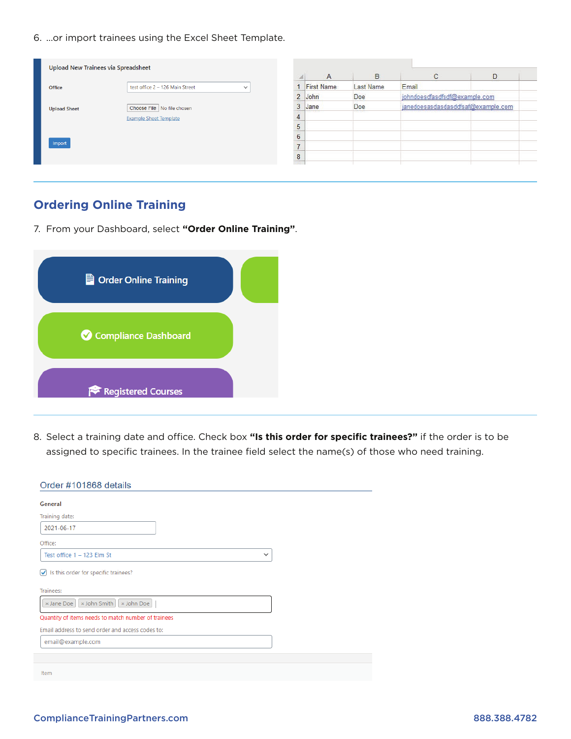6. ...or import trainees using the Excel Sheet Template.

| test office 2 - 126 Main Street<br>$\checkmark$ |                | $\mathsf{A}$      | B                 |                                    |   |
|-------------------------------------------------|----------------|-------------------|-------------------|------------------------------------|---|
|                                                 |                |                   |                   | $\mathbb{C}$                       | D |
|                                                 |                | <b>First Name</b> | Last Name         | Email                              |   |
|                                                 | $\overline{2}$ | John              | Doe               | johndoesdfasdfsdf@example.com      |   |
| Choose File   No file chosen                    | 3              | Jane              | Doe               | janedoesasdasdasddfsaf@example.com |   |
| <b>Example Sheet Template</b>                   |                |                   |                   |                                    |   |
|                                                 | Е              |                   |                   |                                    |   |
|                                                 |                |                   |                   |                                    |   |
|                                                 |                |                   |                   |                                    |   |
|                                                 | 8              |                   |                   |                                    |   |
|                                                 |                |                   | <b>SALES STOP</b> | <b><i>NEW YORK</i></b>             |   |

## **Ordering Online Training**

7. From your Dashboard, select **"Order Online Training"**.

| ■ Order Online Training |  |
|-------------------------|--|
| Compliance Dashboard    |  |
| Registered Courses      |  |

8. Select a training date and office. Check box **"Is this order for specific trainees?"** if the order is to be assigned to specific trainees. In the trainee field select the name(s) of those who need training.

| Order #101868 details                                     |              |  |
|-----------------------------------------------------------|--------------|--|
| General                                                   |              |  |
| Training date:                                            |              |  |
| 2021-06-17                                                |              |  |
| Office:                                                   |              |  |
| Test office 1 - 123 Elm St                                | $\checkmark$ |  |
| $\sqrt{\phantom{a}}$ Is this order for specific trainees? |              |  |
| Trainees:                                                 |              |  |
| x John Smith<br>x John Doe<br>x Jane Doe                  |              |  |
| Quantity of items needs to match number of trainees       |              |  |
| Email address to send order and access codes to:          |              |  |
| email@example.com                                         |              |  |
|                                                           |              |  |
| Item                                                      |              |  |
|                                                           |              |  |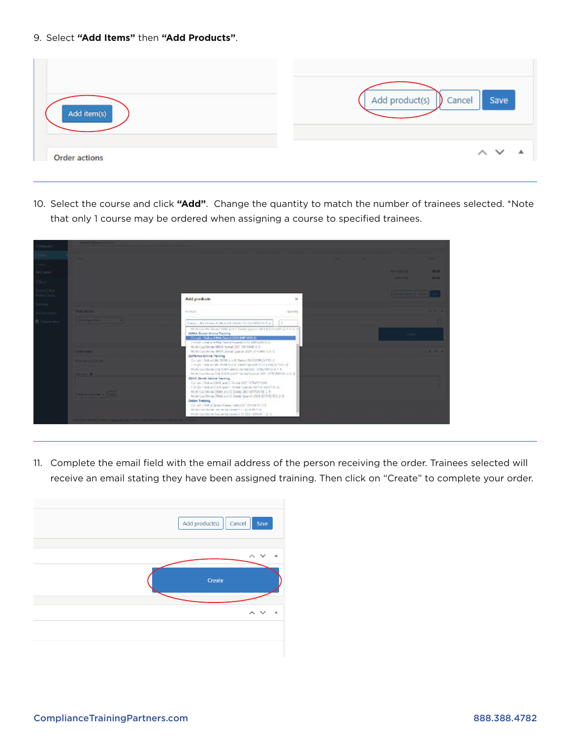9. Select **"Add Items"** then **"Add Products"**.

| Add item(s)          | Add product(s)<br>Save<br>Cancel<br>$\mathbf{D}$ |
|----------------------|--------------------------------------------------|
| <b>Order actions</b> | $\sim$ $\sim$                                    |

10. Select the course and click **"Add"**. Change the quantity to match the number of trainees selected. \*Note that only 1 course may be ordered when assigning a course to specified trainees.

| <b>University</b> |                                           |                                                                                                                                           |                 |                              |       |
|-------------------|-------------------------------------------|-------------------------------------------------------------------------------------------------------------------------------------------|-----------------|------------------------------|-------|
|                   |                                           |                                                                                                                                           |                 |                              | . .   |
| <b>SPECT</b>      |                                           |                                                                                                                                           |                 |                              |       |
| <b>Notation</b>   |                                           |                                                                                                                                           |                 | <b>Barry Secretary</b>       | 13.08 |
| Nors-             |                                           |                                                                                                                                           |                 | <b>CHAIR TITLE</b>           | 30.00 |
| ining Year.       |                                           |                                                                                                                                           |                 | <b>SAN ANTIQUEST CONTROL</b> |       |
| plemance.         |                                           | Add products                                                                                                                              | $\mathbf{x}$    |                              |       |
| <b>Italinaes</b>  |                                           |                                                                                                                                           |                 |                              |       |
| Arrest Codes      | Cross actions                             | <b><i>MOVEMENT</i></b>                                                                                                                    | <b>Thanford</b> |                              |       |
| O College mere    | Christian are suffered.                   | Composible Drame Childcaretti Librate: 2013.(SUNY) 35-1 w.                                                                                | $\mathbf{1}$    |                              |       |
|                   |                                           | McBallan NV (bring 12444 and it. Kentai Spanist 2013) (S.1059) 110-5-1-1-1-1-1                                                            |                 |                              |       |
|                   |                                           | <b>HIPAA Dental Online Training</b><br>Complet-Online H PAA Dental 2021 (HP185D-3)                                                        |                 | Ours:                        |       |
|                   |                                           | Thing's - Online Hifflick General Gourish 2015 (HIFFLIGHT)                                                                                |                 |                              |       |
|                   | Cardian product                           | M.M. Lisa Online HRAA Darral 2021 (HF1AVE-1-3)<br>My N-Car Online (IP/UCUp/GE) pain in (UZE (EFTAWD) 5-E-U.                               |                 |                              |       |
|                   |                                           | California Online Training                                                                                                                |                 |                              |       |
|                   | <b>Service Scott for the Children and</b> | Canally Online CAL OENA and IC Data (2021 (STRC/VP1D-2)                                                                                   |                 |                              |       |
|                   |                                           | Crangia (Tankran) at YBUMA and & Tamido Sponish 2023 (VEH) 20 9935-29.<br>Mate Cas Online C/2 (2016) and (C Ountail 2021 (1780/W10 V.1 1) |                 |                              |       |
|                   | <b>Publicate O</b>                        | Multi-Use Online DM OTER and IC On tal Spanish 2021 (STRCAP10S-V-5-1)                                                                     |                 |                              |       |
|                   |                                           | OSHA Dental Ositive Training<br>Consist - Online Const. and C Dunsal 2021 (STRAT/1046)                                                    |                 |                              |       |
|                   |                                           | The global field of Global and C. Herbid Spanish right in Hang Hands.                                                                     |                 |                              |       |
|                   | <b>Block by Locherson St.   WOR  </b>     | Multi Ltd Oniver 2044 and K. Dontal 2021 (STRVATE) 2-11                                                                                   |                 |                              |       |
|                   |                                           | Multi-Use Online 2011A and IC Dental Spanish 2524 (STRVE) (DS-3-1)<br><b>Online Training</b>                                              |                 |                              |       |
|                   |                                           | Consiliu Online Sensei Hatassment 2021 (SHCAVAN-S)                                                                                        |                 |                              |       |
|                   |                                           | McBulline Clobbe, heroed Harvesment 11 (SVR World)                                                                                        |                 |                              |       |
|                   |                                           | MUN Use Online Sexual Harpstreet CE 2021 (SHEW 1 2 1)                                                                                     |                 |                              |       |

11. Complete the email field with the email address of the person receiving the order. Trainees selected will receive an email stating they have been assigned training. Then click on "Create" to complete your order.

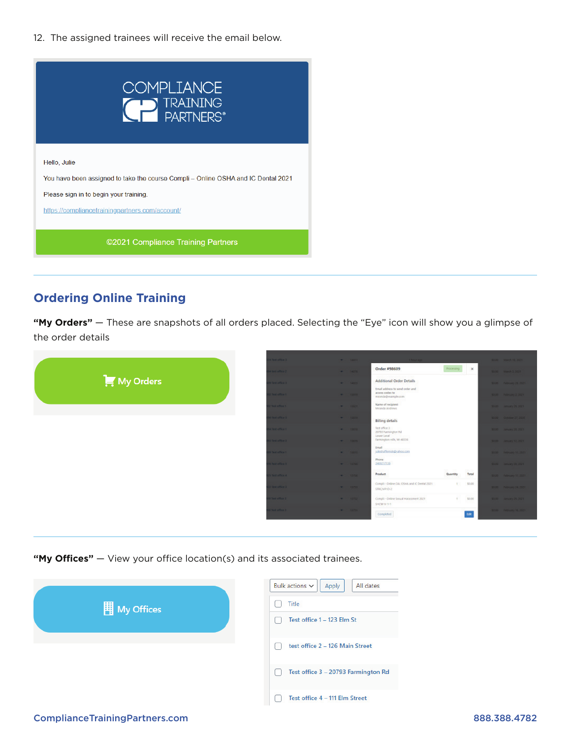12. The assigned trainees will receive the email below.



# **Ordering Online Training**

**"My Orders"** — These are snapshots of all orders placed. Selecting the "Eye" icon will show you a glimpse of the order details



"My Offices" – View your office location(s) and its associated trainees.



#### ComplianceTrainingPartners.com 888.388.4782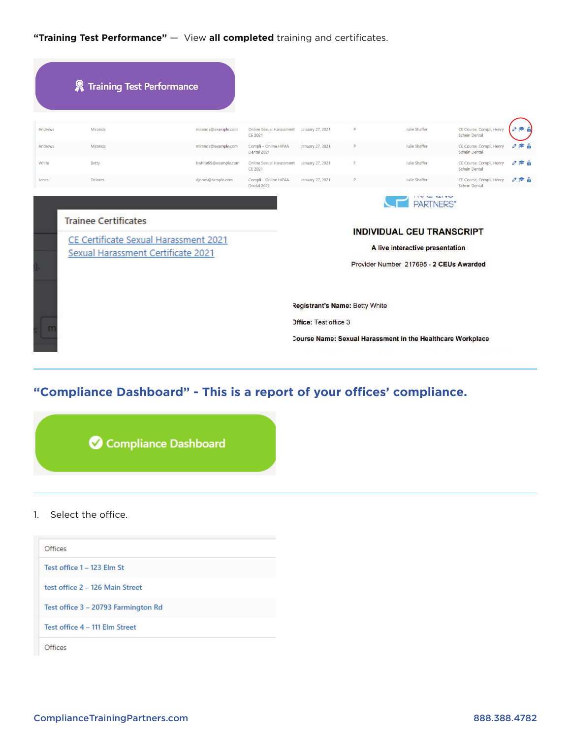**"Training Test Performance"** — View **all completed** training and certificates.

|         | <b>A</b> Training Test Performance                                                                         |                      |                                            |                                                                       |   |                                                                                                                                     |                                                  |                          |
|---------|------------------------------------------------------------------------------------------------------------|----------------------|--------------------------------------------|-----------------------------------------------------------------------|---|-------------------------------------------------------------------------------------------------------------------------------------|--------------------------------------------------|--------------------------|
| Andrews | Miranda                                                                                                    | miranda@example.com  | Online Sexual Harassment<br>CE 2021        | January 27, 2021                                                      | D | Julie Shaffer                                                                                                                       | CE Course, Compli, Henry<br>Schein Dental        | $\circ \approx$ $\theta$ |
| Andrews | Miranda                                                                                                    | miranda@example.com  | Compli - Online HIPAA<br>Dental 2021       | January 27, 2021                                                      | P | Julie Shaffer                                                                                                                       | CE Course, Compli, Henry<br>Schein Dental        | $R^*$ A<br>O             |
| White   | Betty                                                                                                      | bwhite99@example.com | <b>Online Sexual Harassment</b><br>CE 2021 | January 27, 2021                                                      | F | Julie Shaffer                                                                                                                       | CE Course, Compli, Henry<br>Schein Dental        | r A<br>Ø                 |
| Jones   | Delores                                                                                                    | djones@sample.com    | Compli - Online HIPAA<br>Dental 2021       | January 27, 2021                                                      | P | Julie Shaffer                                                                                                                       | CE Course, Compli, Henry<br><b>Schein Dental</b> | $\circ \approx$ A        |
|         | <b>Trainee Certificates</b><br>CE Certificate Sexual Harassment 2021<br>Sexual Harassment Certificate 2021 |                      |                                            |                                                                       |   | <b>PARTNERS</b> *<br><b>INDIVIDUAL CEU TRANSCRIPT</b><br>A live interactive presentation<br>Provider Number 217695 - 2 CEUs Awarded |                                                  |                          |
|         |                                                                                                            |                      |                                            | <b>Registrant's Name: Betty White</b><br><b>Office: Test office 3</b> |   | Course Name: Sexual Harassment in the Healthcare Workplace                                                                          |                                                  |                          |

# **"Compliance Dashboard" - This is a report of your offices' compliance.**



1. Select the office.

| Offices                             |  |
|-------------------------------------|--|
| Test office 1 - 123 Elm St          |  |
| test office 2 - 126 Main Street     |  |
| Test office 3 - 20793 Farmington Rd |  |
| Test office 4 - 111 Elm Street      |  |
| Offices                             |  |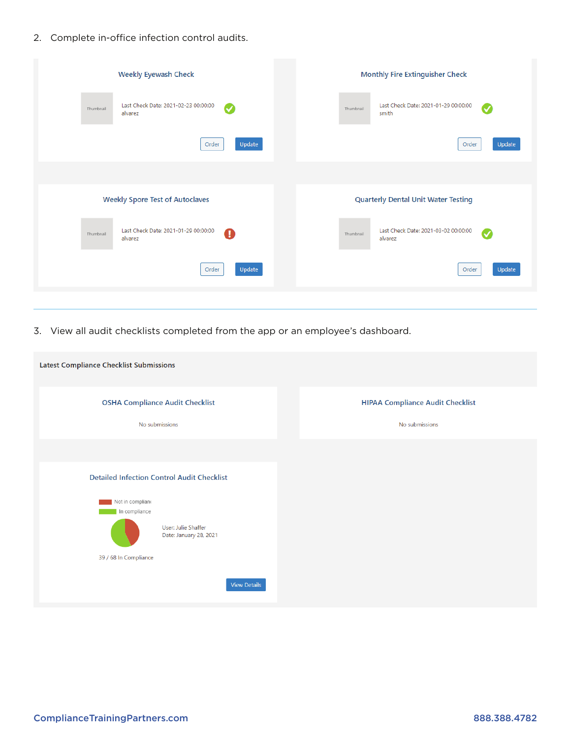2. Complete in-office infection control audits.

| <b>Weekly Eyewash Check</b><br><b>Monthly Fire Extinguisher Check</b>                                     |           |
|-----------------------------------------------------------------------------------------------------------|-----------|
| Last Check Date: 2021-02-23 00:00:00<br>Last Check Date: 2021-01-29 00:00:00<br>Ø<br>Thumbnail<br>smith   | Ø         |
| Update<br>Order<br>Order                                                                                  | Update    |
|                                                                                                           |           |
| <b>Weekly Spore Test of Autoclaves</b><br><b>Quarterly Dental Unit Water Testing</b>                      |           |
| Last Check Date: 2021-01-29 00:00:00<br>Last Check Date: 2021-03-02 00:00:00<br>A<br>Thumbnail<br>alvarez | $\bullet$ |
| Update<br>Order<br>Order                                                                                  | Update    |
|                                                                                                           |           |

3. View all audit checklists completed from the app or an employee's dashboard.

| Latest Compliance Checklist Submissions           |                                         |
|---------------------------------------------------|-----------------------------------------|
| <b>OSHA Compliance Audit Checklist</b>            | <b>HIPAA Compliance Audit Checklist</b> |
| No submissions                                    | No submissions                          |
|                                                   |                                         |
| <b>Detailed Infection Control Audit Checklist</b> |                                         |
| Not in compliano<br>In compliance                 |                                         |
| User: Julie Shaffer<br>Date: January 28, 2021     |                                         |
| 39 / 68 In Compliance                             |                                         |
| <b>View Details</b>                               |                                         |